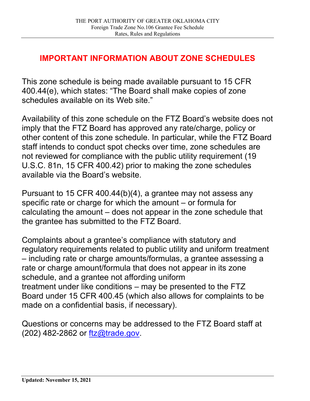# **IMPORTANT INFORMATION ABOUT ZONE SCHEDULES**

This zone schedule is being made available pursuant to 15 CFR 400.44(e), which states: "The Board shall make copies of zone schedules available on its Web site."

Availability of this zone schedule on the FTZ Board's website does not imply that the FTZ Board has approved any rate/charge, policy or other content of this zone schedule. In particular, while the FTZ Board staff intends to conduct spot checks over time, zone schedules are not reviewed for compliance with the public utility requirement (19 U.S.C. 81n, 15 CFR 400.42) prior to making the zone schedules available via the Board's website.

Pursuant to 15 CFR 400.44(b)(4), a grantee may not assess any specific rate or charge for which the amount – or formula for calculating the amount – does not appear in the zone schedule that the grantee has submitted to the FTZ Board.

Complaints about a grantee's compliance with statutory and regulatory requirements related to public utility and uniform treatment – including rate or charge amounts/formulas, a grantee assessing a rate or charge amount/formula that does not appear in its zone schedule, and a grantee not affording uniform treatment under like conditions – may be presented to the FTZ Board under 15 CFR 400.45 (which also allows for complaints to be made on a confidential basis, if necessary).

Questions or concerns may be addressed to the FTZ Board staff at (202) 482-2862 or [ftz@trade.gov.](mailto:ftz@trade.gov)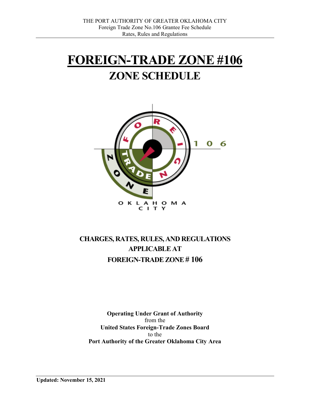# **FOREIGN-TRADE ZONE #106 ZONE SCHEDULE**



# **CHARGES, RATES, RULES, AND REGULATIONS APPLICABLE AT FOREIGN-TRADE ZONE # 106**

**Operating Under Grant of Authority** from the **United States Foreign-Trade Zones Board** to the **Port Authority of the Greater Oklahoma City Area**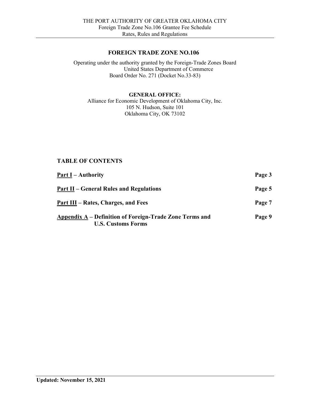### **FOREIGN TRADE ZONE NO.106**

Operating under the authority granted by the Foreign-Trade Zones Board United States Department of Commerce Board Order No. 271 (Docket No.33-83)

#### **GENERAL OFFICE:**

Alliance for Economic Development of Oklahoma City, Inc. 105 N. Hudson, Suite 101 Oklahoma City, OK 73102

## **TABLE OF CONTENTS**

| <u><b>Part I</b></u> – Authority                                                     | Page 3 |
|--------------------------------------------------------------------------------------|--------|
| <b>Part II – General Rules and Regulations</b>                                       | Page 5 |
| Part III – Rates, Charges, and Fees                                                  | Page 7 |
| Appendix A – Definition of Foreign-Trade Zone Terms and<br><b>U.S. Customs Forms</b> | Page 9 |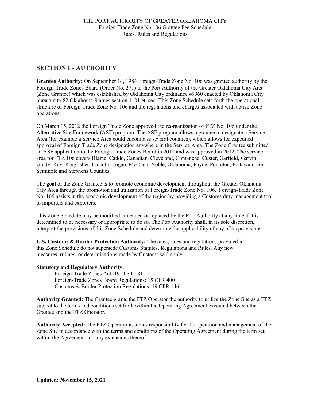# **SECTION I - AUTHORITY**

**Grantee Authority:** On September 14, 1984 Foreign-Trade Zone No. 106 was granted authority by the Foreign-Trade Zones Board (Order No. 271) to the Port Authority of the Greater Oklahoma City Area (Zone Grantee) which was established by Oklahoma City ordinance #9960 enacted by Oklahoma City pursuant to 82 Oklahoma Statues section 1101 et. seq. This Zone Schedule sets forth the operational structure of Foreign-Trade Zone No. 106 and the regulations and charges associated with active Zone operations.

On March 15, 2012 the Foreign Trade Zone approved the reorganization of FTZ No. 106 under the Alternative Site Framework (ASF) program. The ASF program allows a grantee to designate a Service Area (for example a Service Area could encompass several counties), which allows for expedited approval of Foreign Trade Zone designation anywhere in the Service Area. The Zone Grantee submitted an ASF application to the Foreign Trade Zones Board in 2011 and was approved in 2012. The service area for FTZ 106 covers Blaine, Caddo, Canadian, Cleveland, Comanche, Custer, Garfield, Garvin, Grady, Kay, Kingfisher, Lincoln, Logan, McClain, Noble, Oklahoma, Payne, Pontotoc, Pottawatomie, Seminole and Stephens Counties.

The goal of the Zone Grantee is to promote economic development throughout the Greater Oklahoma City Area through the promotion and utilization of Foreign-Trade Zone No. 106. Foreign-Trade Zone No. 106 assists in the economic development of the region by providing a Customs duty management tool to importers and exporters.

This Zone Schedule may be modified, amended or replaced by the Port Authority at any time if it is determined to be necessary or appropriate to do so. The Port Authority shall, in its sole discretion, interpret the provisions of this Zone Schedule and determine the applicability of any of its provisions.

**U.S. Customs & Border Protection Authority:** The rates, rules and regulations provided in this Zone Schedule do not supersede Customs Statutes, Regulations and Rules. Any new measures, rulings, or determinations made by Customs will apply.

#### **Statutory and Regulatory Authority:**

Foreign-Trade Zones Act: 19 U.S.C. 81 Foreign-Trade Zones Board Regulations: 15 CFR 400 Customs & Border Protection Regulations: 19 CFR 146

**Authority Granted:** The Grantee grants the FTZ Operator the authority to utilize the Zone Site as a FTZ subject to the terms and conditions set forth within the Operating Agreement executed between the Grantee and the FTZ Operator.

**Authority Accepted:** The FTZ Operator assumes responsibility for the operation and management of the Zone Site in accordance with the terms and conditions of the Operating Agreement during the term set within the Agreement and any extensions thereof.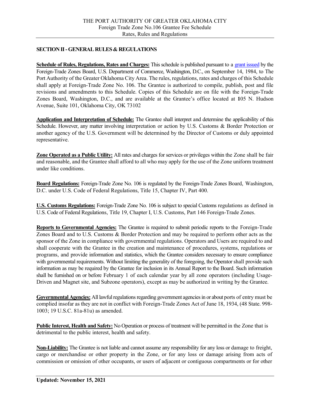#### **SECTION II -GENERAL RULES & REGULATIONS**

**Schedule of Rules, Regulations, Rates and Charges:** This schedule is published pursuant to a [grant issued](https://enforcement.trade.gov/ftzpage/orders/ord256-340.html) by the Foreign-Trade Zones Board, U.S. Department of Commerce, Washington, D.C., on September 14, 1984, to The Port Authority of the Greater Oklahoma City Area. The rules, regulations, rates and charges of this Schedule shall apply at Foreign-Trade Zone No. 106. The Grantee is authorized to compile, publish, post and file revisions and amendments to this Schedule. Copies of this Schedule are on file with the Foreign-Trade Zones Board, Washington, D.C., and are available at the Grantee's office located at **1**05 N. Hudson Avenue, Suite 101, Oklahoma City, OK 73102

**Application and Interpretation of Schedule:** The Grantee shall interpret and determine the applicability of this Schedule. However, any matter involving interpretation or action by U.S. Customs & Border Protection or another agency of the U.S. Government will be determined by the Director of Customs or duly appointed representative.

**Zone Operated as a Public Utility:** All rates and charges for services or privileges within the Zone shall be fair and reasonable, and the Grantee shall afford to all who may apply for the use of the Zone uniform treatment under like conditions.

**Board Regulations:** Foreign-Trade Zone No. 106 is regulated by the Foreign-Trade Zones Board, Washington, D.C. under U.S. Code of Federal Regulations, Title 15, Chapter IV, Part 400.

**U.S. Customs Regulations:** Foreign-Trade Zone No. 106 is subject to special Customs regulations as defined in U.S. Code of Federal Regulations, Title 19, Chapter I, U.S. Customs, Part 146 Foreign-Trade Zones.

**Reports to Governmental Agencies:** The Grantee is required to submit periodic reports to the Foreign-Trade Zones Board and to U.S. Customs & Border Protection and may be required to perform other acts as the sponsor of the Zone in compliance with governmental regulations. Operators and Users are required to and shall cooperate with the Grantee in the creation and maintenance of procedures, systems, regulations or programs, and provide information and statistics, which the Grantee considers necessary to ensure compliance with governmental requirements. Without limiting the generality of the foregoing, the Operator shall provide such information as may be required by the Grantee for inclusion in its Annual Report to the Board. Such information shall be furnished on or before February 1 of each calendar year by all zone operators (including Usage-Driven and Magnet site, and Subzone operators), except as may be authorized in writing by the Grantee.

**Governmental Agencies:** All lawful regulations regarding government agencies in or about ports of entry must be complied insofar as they are not in conflict with Foreign-Trade Zones Act of June 18, 1934, (48 State. 998- 1003; 19 U.S.C. 81a-81u) as amended.

**Public Interest, Health and Safety:** No Operation or process of treatment will be permitted in the Zone that is detrimental to the public interest, health and safety.

**Non-Liability:** The Grantee is not liable and cannot assume any responsibility for any loss or damage to freight, cargo or merchandise or other property in the Zone, or for any loss or damage arising from acts of commission or omission of other occupants, or users of adjacent or contiguous compartments or for other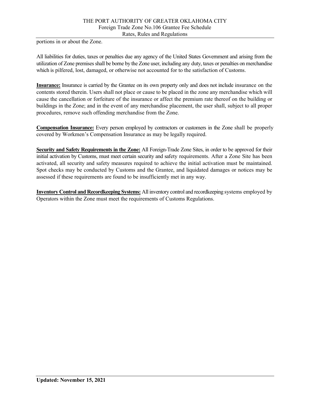portions in or about the Zone.

All liabilities for duties, taxes or penalties due any agency of the United States Government and arising from the utilization of Zone premises shall be borne by the Zone user, including any duty, taxes or penalties on merchandise which is pilfered, lost, damaged, or otherwise not accounted for to the satisfaction of Customs.

**Insurance:** Insurance is carried by the Grantee on its own property only and does not include insurance on the contents stored therein. Users shall not place or cause to be placed in the zone any merchandise which will cause the cancellation or forfeiture of the insurance or affect the premium rate thereof on the building or buildings in the Zone; and in the event of any merchandise placement, the user shall, subject to all proper procedures, remove such offending merchandise from the Zone.

**Compensation Insurance:** Every person employed by contractors or customers in the Zone shall be properly covered by Workmen's Compensation Insurance as may be legally required.

**Security and Safety Requirements in the Zone:** All Foreign-Trade Zone Sites, in order to be approved for their initial activation by Customs, must meet certain security and safety requirements. After a Zone Site has been activated, all security and safety measures required to achieve the initial activation must be maintained. Spot checks may be conducted by Customs and the Grantee, and liquidated damages or notices may be assessed if these requirements are found to be insufficiently met in any way.

**Inventory Control and Recordkeeping Systems:** All inventory control and recordkeeping systems employed by Operators within the Zone must meet the requirements of Customs Regulations.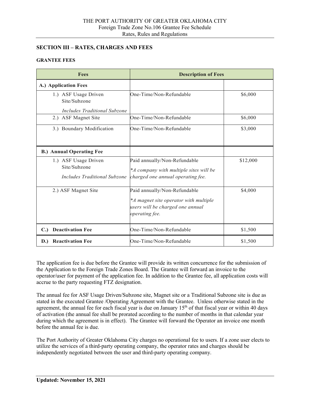#### **SECTION III – RATES, CHARGES AND FEES**

#### **GRANTEE FEES**

| <b>Fees</b>                                                                 | <b>Description of Fees</b>                                                                                                  |          |
|-----------------------------------------------------------------------------|-----------------------------------------------------------------------------------------------------------------------------|----------|
| A.) Application Fees                                                        |                                                                                                                             |          |
| 1.) ASF Usage Driven<br>Site/Subzone<br><b>Includes Traditional Subzone</b> | One-Time/Non-Refundable                                                                                                     | \$6,000  |
| 2.) ASF Magnet Site                                                         | One-Time/Non-Refundable                                                                                                     | \$6,000  |
| 3.) Boundary Modification                                                   | One-Time/Non-Refundable                                                                                                     | \$3,000  |
| <b>B.) Annual Operating Fee</b>                                             |                                                                                                                             |          |
| 1.) ASF Usage Driven<br>Site/Subzone<br>Includes Traditional Subzone        | Paid annually/Non-Refundable<br>*A company with multiple sites will be<br>charged one annual operating fee.                 | \$12,000 |
| 2.) ASF Magnet Site                                                         | Paid annually/Non-Refundable<br>*A magnet site operator with multiple<br>users will be charged one annual<br>operating fee. | \$4,000  |
| <b>Deactivation Fee</b><br>C.                                               | One-Time/Non-Refundable                                                                                                     | \$1,500  |
| <b>Reactivation Fee</b><br>$\mathbf{D}$ .                                   | One-Time/Non-Refundable                                                                                                     | \$1,500  |

The application fee is due before the Grantee will provide its written concurrence for the submission of the Application to the Foreign Trade Zones Board. The Grantee will forward an invoice to the operator/user for payment of the application fee. In addition to the Grantee fee, all application costs will accrue to the party requesting FTZ designation.

The annual fee for ASF Usage Driven/Subzone site, Magnet site or a Traditional Subzone site is due as stated in the executed Grantee /Operating Agreement with the Grantee. Unless otherwise stated in the agreement, the annual fee for each fiscal year is due on January  $15<sup>th</sup>$  of that fiscal year or within 40 days of activation (the annual fee shall be prorated according to the number of months in that calendar year during which the agreement is in effect). The Grantee will forward the Operator an invoice one month before the annual fee is due.

The Port Authority of Greater Oklahoma City charges no operational fee to users. If a zone user elects to utilize the services of a third-party operating company, the operator rates and charges should be independently negotiated between the user and third-party operating company.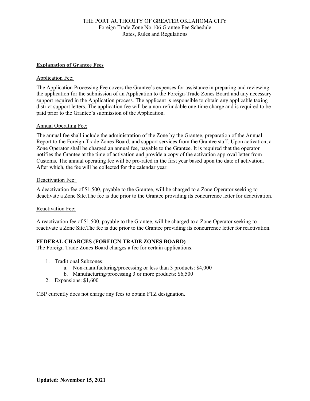#### **Explanation of Grantee Fees**

#### Application Fee:

The Application Processing Fee covers the Grantee's expenses for assistance in preparing and reviewing the application for the submission of an Application to the Foreign-Trade Zones Board and any necessary support required in the Application process. The applicant is responsible to obtain any applicable taxing district support letters. The application fee will be a non-refundable one-time charge and is required to be paid prior to the Grantee's submission of the Application.

#### Annual Operating Fee:

The annual fee shall include the administration of the Zone by the Grantee, preparation of the Annual Report to the Foreign-Trade Zones Board, and support services from the Grantee staff. Upon activation, a Zone Operator shall be charged an annual fee, payable to the Grantee. It is required that the operator notifies the Grantee at the time of activation and provide a copy of the activation approval letter from Customs. The annual operating fee will be pro-rated in the first year based upon the date of activation. After which, the fee will be collected for the calendar year.

#### Deactivation Fee:

A deactivation fee of \$1,500, payable to the Grantee, will be charged to a Zone Operator seeking to deactivate a Zone Site.The fee is due prior to the Grantee providing its concurrence letter for deactivation.

#### Reactivation Fee:

A reactivation fee of \$1,500, payable to the Grantee, will be charged to a Zone Operator seeking to reactivate a Zone Site.The fee is due prior to the Grantee providing its concurrence letter for reactivation.

#### **FEDERAL CHARGES (FOREIGN TRADE ZONES BOARD)**

The Foreign Trade Zones Board charges a fee for certain applications.

- 1. Traditional Subzones:
	- a. Non-manufacturing/processing or less than 3 products: \$4,000
	- b. Manufacturing/processing 3 or more products: \$6,500
- 2. Expansions: \$1,600

CBP currently does not charge any fees to obtain FTZ designation.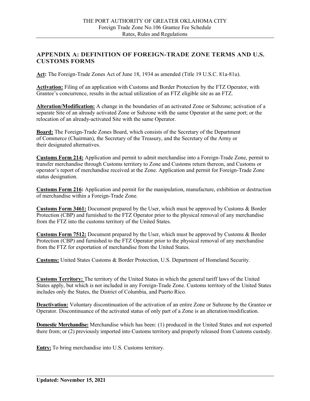## **APPENDIX A: DEFINITION OF FOREIGN-TRADE ZONE TERMS AND U.S. CUSTOMS FORMS**

**Act:** The Foreign-Trade Zones Act of June 18, 1934 as amended (Title 19 U.S.C. 81a-81u).

**Activation:** Filing of an application with Customs and Border Protection by the FTZ Operator, with Grantee's concurrence, results in the actual utilization of an FTZ eligible site as an FTZ.

**Alteration/Modification:** A change in the boundaries of an activated Zone or Subzone; activation of a separate Site of an already activated Zone or Subzone with the same Operator at the same port; or the relocation of an already-activated Site with the same Operator.

**Board:** The Foreign-Trade Zones Board, which consists of the Secretary of the Department of Commerce (Chairman), the Secretary of the Treasury, and the Secretary of the Army or their designated alternatives.

**Customs Form 214:** Application and permit to admit merchandise into a Foreign-Trade Zone, permit to transfer merchandise through Customs territory to Zone and Customs return thereon, and Customs or operator's report of merchandise received at the Zone. Application and permit for Foreign-Trade Zone status designation.

**Customs Form 216:** Application and permit for the manipulation, manufacture, exhibition or destruction of merchandise within a Foreign-Trade Zone.

**Customs Form 3461:** Document prepared by the User, which must be approved by Customs & Border Protection (CBP) and furnished to the FTZ Operator prior to the physical removal of any merchandise from the FTZ into the customs territory of the United States.

**Customs Form 7512:** Document prepared by the User, which must be approved by Customs & Border Protection (CBP) and furnished to the FTZ Operator prior to the physical removal of any merchandise from the FTZ for exportation of merchandise from the United States.

**Customs:** United States Customs & Border Protection, U.S. Department of Homeland Security.

**Customs Territory:** The territory of the United States in which the general tariff laws of the United States apply, but which is not included in any Foreign-Trade Zone. Customs territory of the United States includes only the States, the District of Columbia, and Puerto Rico.

**Deactivation:** Voluntary discontinuation of the activation of an entire Zone or Subzone by the Grantee or Operator. Discontinuance of the activated status of only part of a Zone is an alteration/modification.

**Domestic Merchandise:** Merchandise which has been: (1) produced in the United States and not exported there from; or (2) previously imported into Customs territory and properly released from Customs custody.

**Entry:** To bring merchandise into U.S. Customs territory.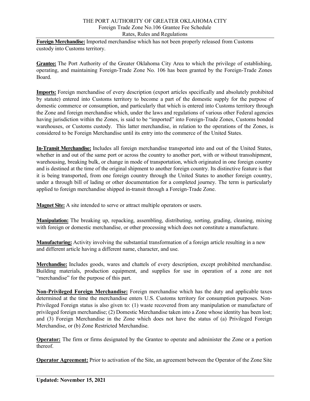#### THE PORT AUTHORITY OF GREATER OKLAHOMA CITY Foreign Trade Zone No.106 Grantee Fee Schedule Rates, Rules and Regulations

**Foreign Merchandise:** Imported merchandise which has not been properly released from Customs custody into Customs territory.

**Grantee:** The Port Authority of the Greater Oklahoma City Area to which the privilege of establishing, operating, and maintaining Foreign-Trade Zone No. 106 has been granted by the Foreign-Trade Zones Board.

**Imports:** Foreign merchandise of every description (export articles specifically and absolutely prohibited by statute) entered into Customs territory to become a part of the domestic supply for the purpose of domestic commerce or consumption, and particularly that which is entered into Customs territory through the Zone and foreign merchandise which, under the laws and regulations of various other Federal agencies having jurisdiction within the Zones, is said to be "imported" into Foreign-Trade Zones, Customs bonded warehouses, or Customs custody. This latter merchandise, in relation to the operations of the Zones, is considered to be Foreign Merchandise until its entry into the commerce of the United States.

**In-Transit Merchandise:** Includes all foreign merchandise transported into and out of the United States, whether in and out of the same port or across the country to another port, with or without transshipment, warehousing, breaking bulk, or change in mode of transportation, which originated in one foreign country and is destined at the time of the original shipment to another foreign country. Its distinctive feature is that it is being transported, from one foreign country through the United States to another foreign country, under a through bill of lading or other documentation for a completed journey. The term is particularly applied to foreign merchandise shipped in-transit through a Foreign-Trade Zone.

**Magnet Site:** A site intended to serve or attract multiple operators or users.

**Manipulation:** The breaking up, repacking, assembling, distributing, sorting, grading, cleaning, mixing with foreign or domestic merchandise, or other processing which does not constitute a manufacture.

**Manufacturing:** Activity involving the substantial transformation of a foreign article resulting in a new and different article having a different name, character, and use.

**Merchandise:** Includes goods, wares and chattels of every description, except prohibited merchandise. Building materials, production equipment, and supplies for use in operation of a zone are not "merchandise" for the purpose of this part.

**Non-Privileged Foreign Merchandise:** Foreign merchandise which has the duty and applicable taxes determined at the time the merchandise enters U.S. Customs territory for consumption purposes. Non-Privileged Foreign status is also given to: (1) waste recovered from any manipulation or manufacture of privileged foreign merchandise; (2) Domestic Merchandise taken into a Zone whose identity has been lost; and (3) Foreign Merchandise in the Zone which does not have the status of (a) Privileged Foreign Merchandise, or (b) Zone Restricted Merchandise.

**Operator:** The firm or firms designated by the Grantee to operate and administer the Zone or a portion thereof.

**Operator Agreement:** Prior to activation of the Site, an agreement between the Operator of the Zone Site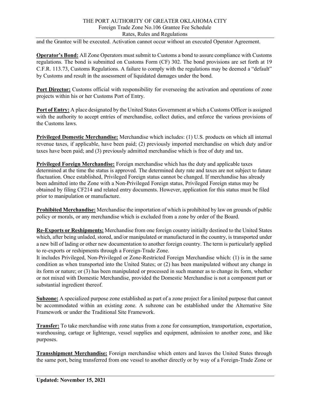#### THE PORT AUTHORITY OF GREATER OKLAHOMA CITY Foreign Trade Zone No.106 Grantee Fee Schedule Rates, Rules and Regulations

and the Grantee will be executed. Activation cannot occur without an executed Operator Agreement.

**Operator's Bond:** All Zone Operators must submit to Customs a bond to assure compliance with Customs regulations. The bond is submitted on Customs Form (CF) 302. The bond provisions are set forth at 19 C.F.R. 113.73, Customs Regulations. A failure to comply with the regulations may be deemed a "default" by Customs and result in the assessment of liquidated damages under the bond.

**Port Director:** Customs official with responsibility for overseeing the activation and operations of zone projects within his or her Customs Port of Entry.

**Port of Entry:** A place designated by the United States Government at which a Customs Officer is assigned with the authority to accept entries of merchandise, collect duties, and enforce the various provisions of the Customs laws.

**Privileged Domestic Merchandise:** Merchandise which includes: (1) U.S. products on which all internal revenue taxes, if applicable, have been paid; (2) previously imported merchandise on which duty and/or taxes have been paid; and (3) previously admitted merchandise which is free of duty and tax.

**Privileged Foreign Merchandise:** Foreign merchandise which has the duty and applicable taxes determined at the time the status is approved. The determined duty rate and taxes are not subject to future fluctuation. Once established, Privileged Foreign status cannot be changed. If merchandise has already been admitted into the Zone with a Non-Privileged Foreign status, Privileged Foreign status may be obtained by filing CF214 and related entry documents. However, application for this status must be filed prior to manipulation or manufacture.

**Prohibited Merchandise:** Merchandise the importation of which is prohibited by law on grounds of public policy or morals, or any merchandise which is excluded from a zone by order of the Board.

**Re-Exports or Reshipments:** Merchandise from one foreign country initially destined to the United States which, after being unladed, stored, and/or manipulated or manufactured in the country, is transported under a new bill of lading or other new documentation to another foreign country. The term is particularly applied to re-exports or reshipments through a Foreign-Trade Zone.

It includes Privileged, Non-Privileged or Zone-Restricted Foreign Merchandise which: (1) is in the same condition as when transported into the United States; or (2) has been manipulated without any change in its form or nature; or (3) has been manipulated or processed in such manner as to change its form, whether or not mixed with Domestic Merchandise, provided the Domestic Merchandise is not a component part or substantial ingredient thereof.

**Subzone:** A specialized purpose zone established as part of a zone project for a limited purpose that cannot be accommodated within an existing zone. A subzone can be established under the Alternative Site Framework or under the Traditional Site Framework.

**Transfer:** To take merchandise with zone status from a zone for consumption, transportation, exportation, warehousing, cartage or lighterage, vessel supplies and equipment, admission to another zone, and like purposes.

**Transshipment Merchandise:** Foreign merchandise which enters and leaves the United States through the same port, being transferred from one vessel to another directly or by way of a Foreign-Trade Zone or